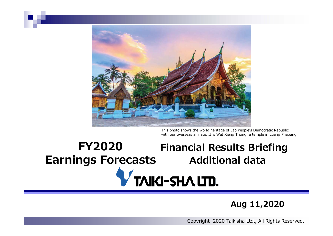

This photo shows the world heritage of Lao People's Democratic Republic with our overseas affiliate. It is Wat Xieng Thong, a temple in Luang Phabang.

## **FY2020Financial Results Briefing Earnings Forecasts Additional data TAIKI-SHALITD.**

## **Aug 11,2020**

Copyright 2020 Taikisha Ltd., All Rights Reserved.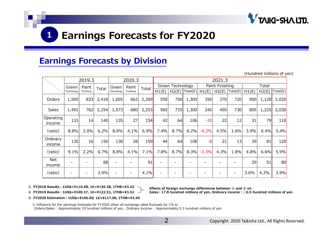

## **Earnings Forecasts by Division**

|                      |            |           |       |            |                          |         |                  |       |                     |                 |        |          |       |       | (Hundred millions of yen) |
|----------------------|------------|-----------|-------|------------|--------------------------|---------|------------------|-------|---------------------|-----------------|--------|----------|-------|-------|---------------------------|
|                      | 2019.3     |           |       |            | 2020.3                   |         |                  |       |                     |                 | 2021.3 |          |       |       |                           |
|                      | Green      | Paint     | Total | Green      | Paint                    | Total   | Green Technology |       |                     | Paint Finishing |        |          | Total |       |                           |
|                      | Technology | Finishing |       | Technology | Finishing                |         | H1(E)            | H2(E) | $\vert$ Total $(E)$ | H1(E)           | H2(E)  | Total(E) | H1(E) | H2(E) | Total(E)                  |
| Orders               | 1,585      | 833       | 2,418 | 1,605      | 663                      | 2,269   | 550              | 750   | 1,300               | 350             | 370    | 720      | 900   | 1,120 | 2,020                     |
| Sales                | 1,491      | 762       | 2,254 | 1,573      | 680                      | 2,253   | 565              | 735   | 1,300               | 240             | 490    | 730      | 805   | 1,225 | 2,030                     |
| Operating<br>income  | 131        | 14        | 140   | 135        | 27                       | 154     | 42               | 64    | 106                 | $-10$           | 22     | 12       | 31    | 79    | 110                       |
| (ratio)              | 8.8%       | 2.0%      | 6.2%  | 8.6%       | 4.1%                     | 6.9%    | 7.4%             | 8.7%  | 8.2%                | $-4.2%$         | 4.5%   | 1.6%     | 3.9%  | 6.4%  | 5.4%                      |
| Ordinary<br>income   | 135        | 16        | 150   | 138        | 28                       | 159     | 44               | 64    | 108                 | $-8$            | 21     | 13       | 39    | 81    | 120                       |
| (ratio)              | 9.1%       | 2.2%      | 6.7%  | 8.8%       | 4.1%                     | 7.1%    | 7.8%             | 8.7%  | 8.3%                | $-3.3%$         | 4.3%   | 1.8%     | 4.8%  | 6.6%  | 5.9%                      |
| <b>Net</b><br>income |            |           | 88    |            | ۰                        | 91      |                  |       |                     |                 |        |          | 29    | 51    | 80                        |
| (ratio)              |            |           | 3.9%  |            | $\overline{\phantom{a}}$ | $4.1\%$ |                  |       |                     |                 |        |          | 3.6%  | 4.2%  | 3.9%                      |

**① FY2018 Results︓1US\$=¥110.58, 1€=¥130.38, 1THB=¥3.42**

**② FY2019 Results︓1US\$=¥109.37, 1€=¥122.51, 1THB=¥3.52 Sales︓17.8 hundred millions of yen, Ordinary income︓△0.5 hundred millions of yen**

**Effects of foreign exchange differences between ① and ② on**

### **③ FY2020 Estimation︓1US\$=¥106.00, 1€=¥117.00, 1THB=¥3.49**

※ Influence for the earnings forecasts for FY2020 when all exchange rates fluctuate by 1% is;

Orders/Sales: Approximately 10 hundred millions of yen, Ordinary income: Approximately 0.3 hundred millions of yen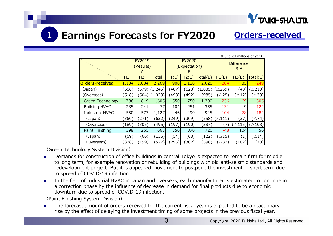

# **Earnings Forecasts for FY2020 Orders-received**

| (Hundred millions of yen) |       |           |              |                                |       |          |                            |                  |                   |  |  |
|---------------------------|-------|-----------|--------------|--------------------------------|-------|----------|----------------------------|------------------|-------------------|--|--|
|                           |       | FY2019    |              | <b>FY2020</b><br>(Expectation) |       |          | <b>Difference</b><br>$B-A$ |                  |                   |  |  |
|                           |       | (Results) |              |                                |       |          |                            |                  |                   |  |  |
|                           |       | A         |              |                                | B     |          |                            |                  |                   |  |  |
|                           | H1    | H2        | <b>Total</b> | H1(E)                          | H2(E) | Total(E) | H1(E)                      | H2(E)            | Total(E)          |  |  |
| <b>Orders-received</b>    | 1,184 | 1,084     | 2,269        | 900                            | 1,120 | 2,020    | $-284$                     | 35               | $-249$            |  |  |
| (Japan)                   | (666) | (579)     | (1,245)      | (407)                          | (628) | (1,035)  | $\triangle$ 259)           | (48)             | $(\triangle 210)$ |  |  |
| (Overseas)                | (518) | (504)     | (1,023)      | (493)                          | (492) | (985)    | $(\triangle 25)$           | $(\triangle 12)$ | $(\triangle 38)$  |  |  |
| Green Technology          | 786   | 819       | 1,605        | 550                            | 750   | 1,300    | $-236$                     | $-69$            | $-305$            |  |  |
| <b>Building HVAC</b>      | 235   | 241       | 477          | 104                            | 251   | 355      | $-131$                     | 9                | $-122$            |  |  |
| <b>Industrial HVAC</b>    | 550   | 577       | 1,127        | 446                            | 499   | 945      | $-104$                     | $-78$            | $-182$            |  |  |
| (Japan)                   | (360) | (271)     | (632)        | (249)                          | (309) | (558)    | $(\triangle 111)$          | (37)             | $(\triangle 74)$  |  |  |
| (Overseas)                | (189) | (305)     | (495)        | (197)                          | (190) | (387)    | (7)                        | $\triangle$ 115) | $\triangle$ 108)  |  |  |
| Paint Finishing           | 398   | 265       | 663          | 350                            | 370   | 720      | $-48$                      | 104              | 56                |  |  |
| (Japan)                   | (69)  | (66)      | (136)        | (54)                           | (68)  | (122)    | $(\triangle 15)$           | (1)              | $(\triangle 14)$  |  |  |
| (Overseas)                | (328) | (199)     | (527)        | (296)                          | (302) | (598)    | $(\triangle 32)$           | (102)            | (70)              |  |  |

(Green Technology System Division)

**1**

- $\mathbf{r}$  Demands for construction of office buildings in central Tokyo is expected to remain firm for middle to long term, for example renovation or rebuilding of buildings with old anti-seismic standards and redevelopment project. But it is appeared movement to postpone the investment in short term due to spread of COVID-19 infection.
- $\mathcal{L}_{\rm{max}}$  In the field of Industrial HVAC in Japan and overseas, each manufacturer is estimated to continue in a correction phase by the influence of decrease in demand for final products due to economic downturn due to spread of COVID-19 infection.

(Paint Finishing System Division)

П The forecast amount of orders-received for the current fiscal year is expected to be a reactionary rise by the effect of delaying the investment timing of some projects in the previous fiscal year.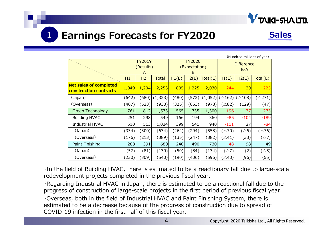

### **1Earnings Forecasts for FY2020 Sales**

| (Hundred millions of yen)                               |                          |                |              |       |                              |          |                            |                   |                   |  |
|---------------------------------------------------------|--------------------------|----------------|--------------|-------|------------------------------|----------|----------------------------|-------------------|-------------------|--|
|                                                         | FY2019<br>(Results)<br>A |                |              |       | FY2020<br>(Expectation)<br>B |          | <b>Difference</b><br>$B-A$ |                   |                   |  |
|                                                         | H1                       | H <sub>2</sub> | <b>Total</b> | H1(E) | H2(E)                        | Total(E) | H1(E)                      | H2(E)             | Total(E)          |  |
| <b>Net sales of completed</b><br>construction contracts | 1,049                    | 1,204          | 2,253        | 805   | 1,225                        | 2,030    | $-244$                     | 20                | $-223$            |  |
| (Japan)                                                 | (642)                    | (680)          | (1, 323)     | (480) | (572)                        | (1,052)  | $(\triangle 162)$          | $(\triangle 108)$ | $(\triangle 271)$ |  |
| (Overseas)                                              | (407)                    | (523)          | (930)        | (325) | (653)                        | (978)    | ∑∆82)                      | (129)             | (47)              |  |
| <b>Green Technology</b>                                 | 761                      | 812            | 1,573        | 565   | 735                          | 1,300    | $-196$                     | $-77$             | $-273$            |  |
| <b>Building HVAC</b>                                    | 251                      | 298            | 549          | 166   | 194                          | 360      | $-85$                      | $-104$            | $-189$            |  |
| <b>Industrial HVAC</b>                                  | 510                      | 513            | 1,024        | 399   | 541                          | 940      | $-111$                     | 27                | $-84$             |  |
| (Japan)                                                 | (334)                    | (300)          | (634)        | (264) | (294)                        | (558)    | $(\triangle 70)$           | $(\triangle 6)$   | $(\triangle 76)$  |  |
| (Overseas)                                              | (176)                    | (213)          | (389)        | (135) | (247)                        | (382)    | $(\triangle 41)$           | (33)              | $(\triangle 7)$   |  |
| Paint Finishing                                         | 288                      | 391            | 680          | 240   | 490                          | 730      | $-48$                      | 98                | 49                |  |
| (Japan)                                                 | (57)                     | (81)           | (139)        | (50)  | (84)                         | (134)    | $(\triangle 7)$            | (2)               | $(\triangle 5)$   |  |
| (Overseas)                                              | (230)                    | (309)          | (540)        | (190) | (406)                        | (596)    | $(\triangle 40)$           | (96)              | (55)              |  |

・In the field of Building HVAC, there is estimated to be a reactionary fall due to large-scale redevelopment projects completed in the previous fiscal year.

・Regarding Industrial HVAC in Japan, there is estimated to be a reactional fall due to the progress of construction of large-scale projects in the first period of previous fiscal year. ・Overseas, both in the field of Industrial HVAC and Paint Finishing System, there is estimated to be a decrease because of the progress of construction due to spread of COVID-19 infection in the first half of this fiscal year.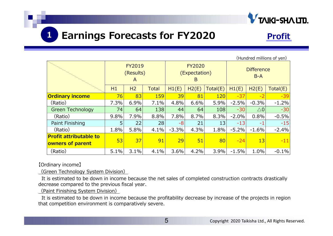

### **1Earnings Forecasts for FY2020** Profit

|                                                   |      |                                 |              |         |                                     |          |                            |               | (Hundred millions of yen) |
|---------------------------------------------------|------|---------------------------------|--------------|---------|-------------------------------------|----------|----------------------------|---------------|---------------------------|
|                                                   |      | <b>FY2019</b><br>(Results)<br>A |              |         | <b>FY2020</b><br>(Expectation)<br>B |          | <b>Difference</b><br>$B-A$ |               |                           |
|                                                   | H1   | H2                              | <b>Total</b> | H1(E)   | H2(E)                               | Total(E) | H1(E)                      | H2(E)         | Total(E)                  |
| <b>Ordinary income</b>                            | 76   | 83                              | <b>159</b>   | 39      | 81                                  | 120      | $-37$                      | $-2$          | $-39$                     |
| (Ratio)                                           | 7.3% | 6.9%                            | 7.1%         | 4.8%    | 6.6%                                | 5.9%     | $-2.5%$                    | $-0.3%$       | $-1.2%$                   |
| <b>Green Technology</b>                           | 74   | 64                              | 138          | 44      | 64                                  | 108      | $-30$                      | $\triangle$ 0 | $-30$                     |
| (Ratio)                                           | 9.8% | 7.9%                            | 8.8%         | 7.8%    | 8.7%                                | 8.3%     | $-2.0%$                    | 0.8%          | $-0.5%$                   |
| Paint Finishing                                   | 5    | 22                              | 28           | -8      | 21                                  | 13       | $-13$                      | $-1$          | $-15$                     |
| (Ratio)                                           | 1.8% | 5.8%                            | 4.1%         | $-3.3%$ | 4.3%                                | 1.8%     | $-5.2%$                    | $-1.6%$       | $-2.4%$                   |
| <b>Profit attributable to</b><br>owners of parent | 53   | 37                              | 91           | 29      | 51                                  | 80       | $-24$                      | 13            | $-11$                     |
| (Ratio)                                           | 5.1% | 3.1%                            | 4.1%         | 3.6%    | 4.2%                                | 3.9%     | $-1.5%$                    | 1.0%          | $-0.1%$                   |

【Ordinary income】

(Green Technology System Division)

It is estimated to be down in income because the net sales of completed construction contracts drastically decrease compared to the previous fiscal year.

(Paint Finishing System Division)

It is estimated to be down in income because the profitability decrease by increase of the projects in region that competition environment is comparatively severe.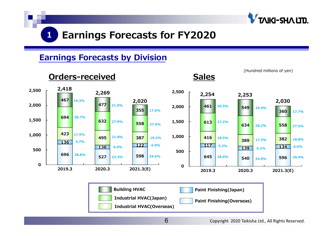

## **Earnings Forecasts by Division**

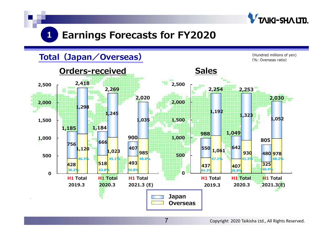

## **Total(Japan/Overseas)**

(Hundred millions of yen) (%: Overseas ratio)

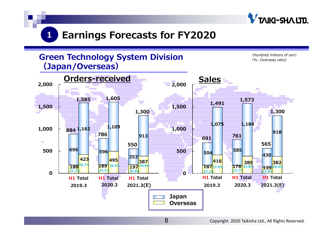



8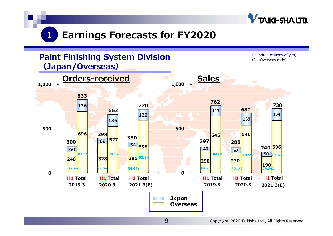

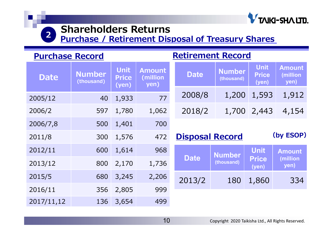

# **Shareholders Returns**

**Purchase / Retirement Disposal of Treasury Shares**

| <b>Purchase Record</b> |                             |                                            | <b>Retirement Record</b> |                        |                             |                                      |                                    |  |  |
|------------------------|-----------------------------|--------------------------------------------|--------------------------|------------------------|-----------------------------|--------------------------------------|------------------------------------|--|--|
| <b>Date</b>            | <b>Number</b><br>(thousand) | <b>Unit</b><br><b>Price</b><br>$($ yen $)$ |                          | <b>Date</b>            | <b>Number</b><br>(thousand) | <b>Unit</b><br><b>Price</b><br>(yen) | <b>Amount</b><br>(million)<br>yen) |  |  |
| 2005/12                | 40                          | 1,933                                      | 77                       | 2008/8                 | 1,200                       | 1,593                                | 1,912                              |  |  |
| 2006/2                 | 597                         | 1,780                                      | 1,062                    | 2018/2                 | 1,700                       | 2,443                                | 4,154                              |  |  |
| 2006/7,8               | 500                         | 1,401                                      | 700                      |                        |                             |                                      |                                    |  |  |
| 2011/8                 | 300                         | 1,576                                      | 472                      | <b>Disposal Record</b> |                             |                                      | (by ESOP)                          |  |  |
| 2012/11                | 600                         | 1,614                                      | 968                      |                        | <b>Number</b>               | <b>Unit</b>                          | <b>Amount</b>                      |  |  |
| 2013/12                | 800                         | 2,170                                      | 1,736                    | <b>Date</b>            | (thousand)                  | <b>Price</b><br>(yen)                | (million)<br>yen)                  |  |  |
| 2015/5                 | 680                         | 3,245                                      | 2,206                    | 2013/2                 | 180                         | 1,860                                | 334                                |  |  |
| 2016/11                | 356                         | 2,805                                      | 999                      |                        |                             |                                      |                                    |  |  |
| 2017/11,12             | 136                         | 3,654                                      | 499                      |                        |                             |                                      |                                    |  |  |

### Copyright 2020 Taikisha Ltd., All Rights Reserved.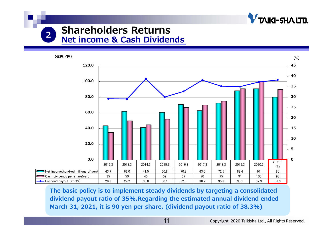

## **Shareholders Returns 2Net income & Cash Dividends**



**The basic policy is to implement steady dividends by targeting a consolidated dividend payout ratio of 35%.Regarding the estimated annual dividend ended March 31, 2021, it is 90 yen per share. (dividend payout ratio of 38.3%)**

11